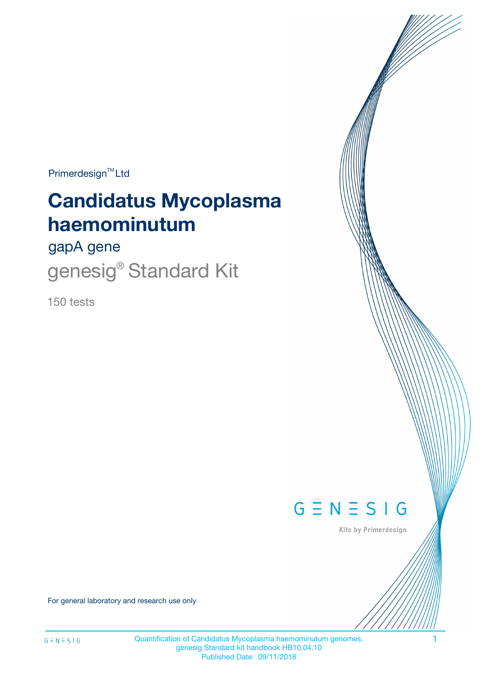$Primerdesign^{\text{TM}}Ltd$ 

# **Candidatus Mycoplasma haemominutum**

gapA gene

genesig® Standard Kit

150 tests



Kits by Primerdesign

For general laboratory and research use only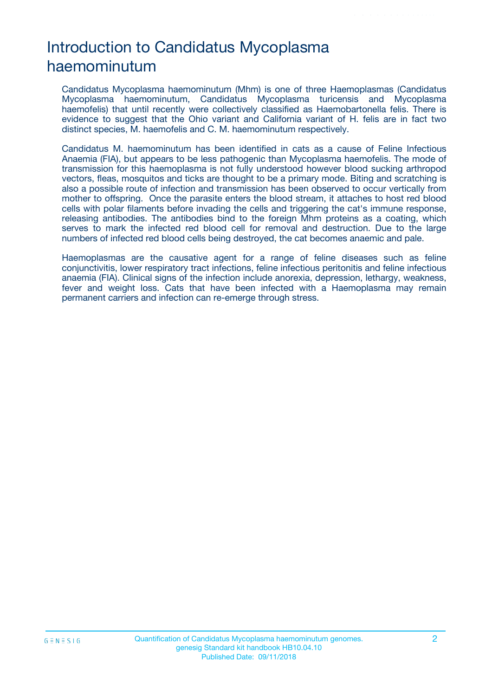# Introduction to Candidatus Mycoplasma haemominutum

Candidatus Mycoplasma haemominutum (Mhm) is one of three Haemoplasmas (Candidatus Mycoplasma haemominutum, Candidatus Mycoplasma turicensis and Mycoplasma haemofelis) that until recently were collectively classified as Haemobartonella felis. There is evidence to suggest that the Ohio variant and California variant of H. felis are in fact two distinct species, M. haemofelis and C. M. haemominutum respectively.

Candidatus M. haemominutum has been identified in cats as a cause of Feline Infectious Anaemia (FIA), but appears to be less pathogenic than Mycoplasma haemofelis. The mode of transmission for this haemoplasma is not fully understood however blood sucking arthropod vectors, fleas, mosquitos and ticks are thought to be a primary mode. Biting and scratching is also a possible route of infection and transmission has been observed to occur vertically from mother to offspring. Once the parasite enters the blood stream, it attaches to host red blood cells with polar filaments before invading the cells and triggering the cat's immune response, releasing antibodies. The antibodies bind to the foreign Mhm proteins as a coating, which serves to mark the infected red blood cell for removal and destruction. Due to the large numbers of infected red blood cells being destroyed, the cat becomes anaemic and pale.

Haemoplasmas are the causative agent for a range of feline diseases such as feline conjunctivitis, lower respiratory tract infections, feline infectious peritonitis and feline infectious anaemia (FIA). Clinical signs of the infection include anorexia, depression, lethargy, weakness, fever and weight loss. Cats that have been infected with a Haemoplasma may remain permanent carriers and infection can re-emerge through stress.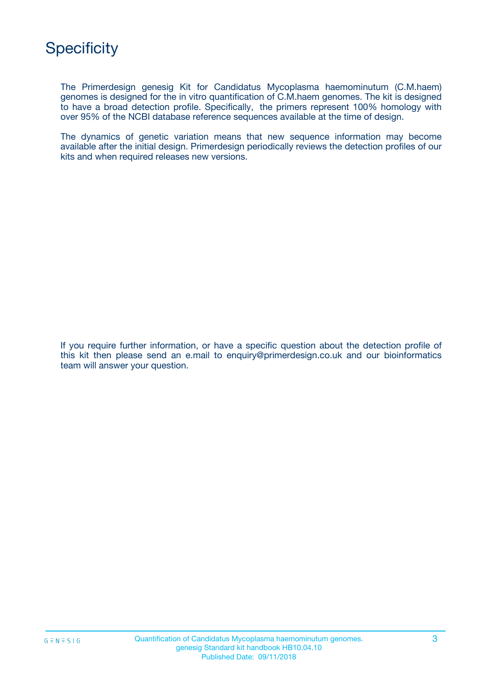The Primerdesign genesig Kit for Candidatus Mycoplasma haemominutum (C.M.haem) genomes is designed for the in vitro quantification of C.M.haem genomes. The kit is designed to have a broad detection profile. Specifically, the primers represent 100% homology with over 95% of the NCBI database reference sequences available at the time of design.

The dynamics of genetic variation means that new sequence information may become available after the initial design. Primerdesign periodically reviews the detection profiles of our kits and when required releases new versions.

If you require further information, or have a specific question about the detection profile of this kit then please send an e.mail to enquiry@primerdesign.co.uk and our bioinformatics team will answer your question.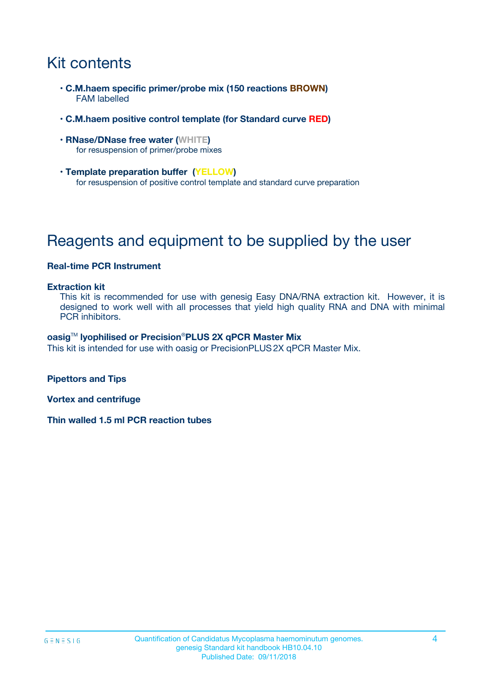# Kit contents

- **C.M.haem specific primer/probe mix (150 reactions BROWN)** FAM labelled
- **C.M.haem positive control template (for Standard curve RED)**
- **RNase/DNase free water (WHITE)** for resuspension of primer/probe mixes
- **Template preparation buffer (YELLOW)** for resuspension of positive control template and standard curve preparation

# Reagents and equipment to be supplied by the user

### **Real-time PCR Instrument**

#### **Extraction kit**

This kit is recommended for use with genesig Easy DNA/RNA extraction kit. However, it is designed to work well with all processes that yield high quality RNA and DNA with minimal PCR inhibitors.

#### **oasig**TM **lyophilised or Precision**®**PLUS 2X qPCR Master Mix**

This kit is intended for use with oasig or PrecisionPLUS2X qPCR Master Mix.

**Pipettors and Tips**

**Vortex and centrifuge**

**Thin walled 1.5 ml PCR reaction tubes**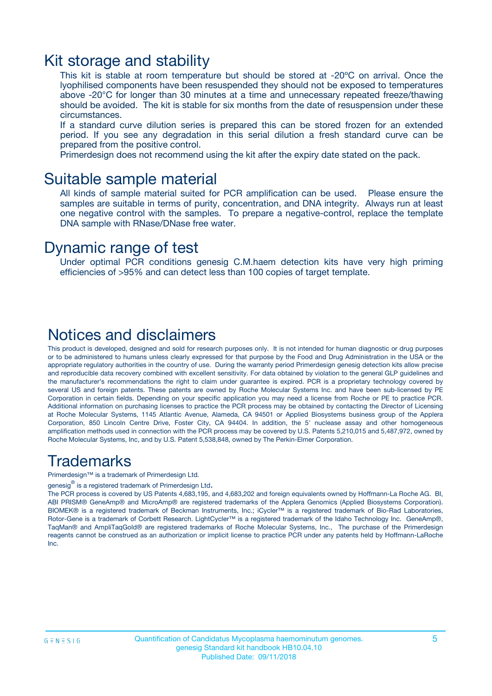### Kit storage and stability

This kit is stable at room temperature but should be stored at -20ºC on arrival. Once the lyophilised components have been resuspended they should not be exposed to temperatures above -20°C for longer than 30 minutes at a time and unnecessary repeated freeze/thawing should be avoided. The kit is stable for six months from the date of resuspension under these circumstances.

If a standard curve dilution series is prepared this can be stored frozen for an extended period. If you see any degradation in this serial dilution a fresh standard curve can be prepared from the positive control.

Primerdesign does not recommend using the kit after the expiry date stated on the pack.

### Suitable sample material

All kinds of sample material suited for PCR amplification can be used. Please ensure the samples are suitable in terms of purity, concentration, and DNA integrity. Always run at least one negative control with the samples. To prepare a negative-control, replace the template DNA sample with RNase/DNase free water.

### Dynamic range of test

Under optimal PCR conditions genesig C.M.haem detection kits have very high priming efficiencies of >95% and can detect less than 100 copies of target template.

### Notices and disclaimers

This product is developed, designed and sold for research purposes only. It is not intended for human diagnostic or drug purposes or to be administered to humans unless clearly expressed for that purpose by the Food and Drug Administration in the USA or the appropriate regulatory authorities in the country of use. During the warranty period Primerdesign genesig detection kits allow precise and reproducible data recovery combined with excellent sensitivity. For data obtained by violation to the general GLP guidelines and the manufacturer's recommendations the right to claim under guarantee is expired. PCR is a proprietary technology covered by several US and foreign patents. These patents are owned by Roche Molecular Systems Inc. and have been sub-licensed by PE Corporation in certain fields. Depending on your specific application you may need a license from Roche or PE to practice PCR. Additional information on purchasing licenses to practice the PCR process may be obtained by contacting the Director of Licensing at Roche Molecular Systems, 1145 Atlantic Avenue, Alameda, CA 94501 or Applied Biosystems business group of the Applera Corporation, 850 Lincoln Centre Drive, Foster City, CA 94404. In addition, the 5' nuclease assay and other homogeneous amplification methods used in connection with the PCR process may be covered by U.S. Patents 5,210,015 and 5,487,972, owned by Roche Molecular Systems, Inc, and by U.S. Patent 5,538,848, owned by The Perkin-Elmer Corporation.

### Trademarks

Primerdesign™ is a trademark of Primerdesign Ltd.

genesig $^\circledR$  is a registered trademark of Primerdesign Ltd.

The PCR process is covered by US Patents 4,683,195, and 4,683,202 and foreign equivalents owned by Hoffmann-La Roche AG. BI, ABI PRISM® GeneAmp® and MicroAmp® are registered trademarks of the Applera Genomics (Applied Biosystems Corporation). BIOMEK® is a registered trademark of Beckman Instruments, Inc.; iCycler™ is a registered trademark of Bio-Rad Laboratories, Rotor-Gene is a trademark of Corbett Research. LightCycler™ is a registered trademark of the Idaho Technology Inc. GeneAmp®, TaqMan® and AmpliTaqGold® are registered trademarks of Roche Molecular Systems, Inc., The purchase of the Primerdesign reagents cannot be construed as an authorization or implicit license to practice PCR under any patents held by Hoffmann-LaRoche Inc.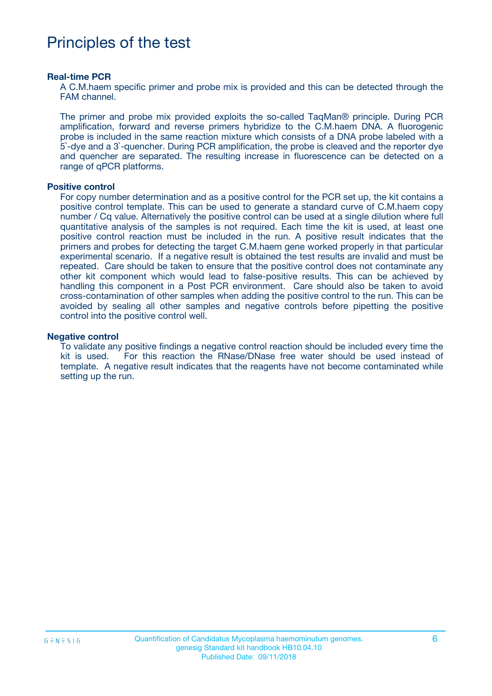## Principles of the test

#### **Real-time PCR**

A C.M.haem specific primer and probe mix is provided and this can be detected through the FAM channel.

The primer and probe mix provided exploits the so-called TaqMan® principle. During PCR amplification, forward and reverse primers hybridize to the C.M.haem DNA. A fluorogenic probe is included in the same reaction mixture which consists of a DNA probe labeled with a 5`-dye and a 3`-quencher. During PCR amplification, the probe is cleaved and the reporter dye and quencher are separated. The resulting increase in fluorescence can be detected on a range of qPCR platforms.

#### **Positive control**

For copy number determination and as a positive control for the PCR set up, the kit contains a positive control template. This can be used to generate a standard curve of C.M.haem copy number / Cq value. Alternatively the positive control can be used at a single dilution where full quantitative analysis of the samples is not required. Each time the kit is used, at least one positive control reaction must be included in the run. A positive result indicates that the primers and probes for detecting the target C.M.haem gene worked properly in that particular experimental scenario. If a negative result is obtained the test results are invalid and must be repeated. Care should be taken to ensure that the positive control does not contaminate any other kit component which would lead to false-positive results. This can be achieved by handling this component in a Post PCR environment. Care should also be taken to avoid cross-contamination of other samples when adding the positive control to the run. This can be avoided by sealing all other samples and negative controls before pipetting the positive control into the positive control well.

#### **Negative control**

To validate any positive findings a negative control reaction should be included every time the kit is used. For this reaction the RNase/DNase free water should be used instead of template. A negative result indicates that the reagents have not become contaminated while setting up the run.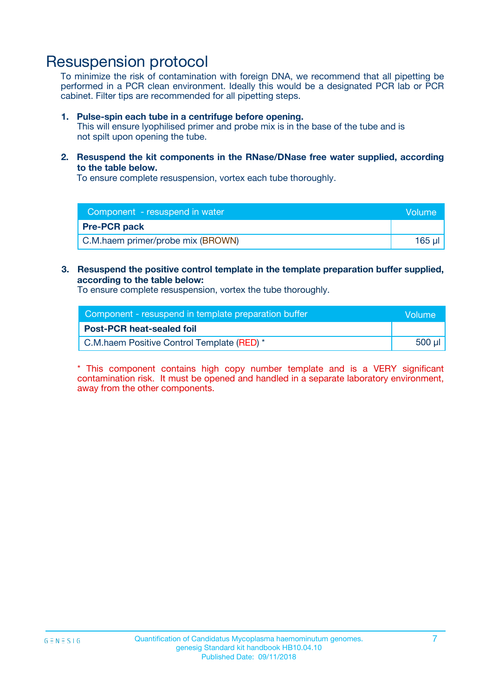### Resuspension protocol

To minimize the risk of contamination with foreign DNA, we recommend that all pipetting be performed in a PCR clean environment. Ideally this would be a designated PCR lab or PCR cabinet. Filter tips are recommended for all pipetting steps.

#### **1. Pulse-spin each tube in a centrifuge before opening.**

This will ensure lyophilised primer and probe mix is in the base of the tube and is not spilt upon opening the tube.

**2. Resuspend the kit components in the RNase/DNase free water supplied, according to the table below.**

To ensure complete resuspension, vortex each tube thoroughly.

| Component - resuspend in water    | <b>Volume</b> |
|-----------------------------------|---------------|
| <b>Pre-PCR pack</b>               |               |
| C.M.haem primer/probe mix (BROWN) | $165$ $\mu$   |

### **3. Resuspend the positive control template in the template preparation buffer supplied, according to the table below:**

To ensure complete resuspension, vortex the tube thoroughly.

| Component - resuspend in template preparation buffer |          |  |
|------------------------------------------------------|----------|--|
| <b>Post-PCR heat-sealed foil</b>                     |          |  |
| C.M.haem Positive Control Template (RED) *           | 500 µl l |  |

\* This component contains high copy number template and is a VERY significant contamination risk. It must be opened and handled in a separate laboratory environment, away from the other components.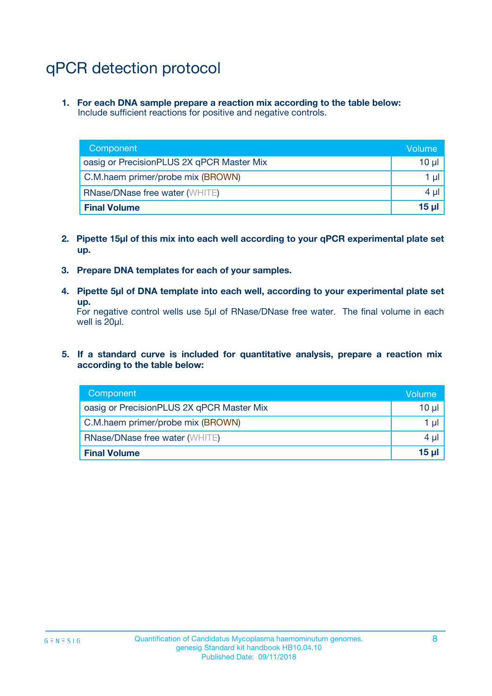# qPCR detection protocol

**1. For each DNA sample prepare a reaction mix according to the table below:** Include sufficient reactions for positive and negative controls.

| Component                                 | Volume     |
|-------------------------------------------|------------|
| oasig or PrecisionPLUS 2X qPCR Master Mix | 10 $\mu$   |
| C.M.haem primer/probe mix (BROWN)         | 1 $\mu$    |
| <b>RNase/DNase free water (WHITE)</b>     | $4 \mu$    |
| <b>Final Volume</b>                       | $15$ $\mu$ |

- **2. Pipette 15µl of this mix into each well according to your qPCR experimental plate set up.**
- **3. Prepare DNA templates for each of your samples.**
- **4. Pipette 5µl of DNA template into each well, according to your experimental plate set up.**

For negative control wells use 5µl of RNase/DNase free water. The final volume in each well is 20µl.

**5. If a standard curve is included for quantitative analysis, prepare a reaction mix according to the table below:**

| Component                                 | Volume  |
|-------------------------------------------|---------|
| oasig or PrecisionPLUS 2X qPCR Master Mix | 10 µl   |
| C.M.haem primer/probe mix (BROWN)         | 1 µI    |
| <b>RNase/DNase free water (WHITE)</b>     | $4 \mu$ |
| <b>Final Volume</b>                       | 15 µl   |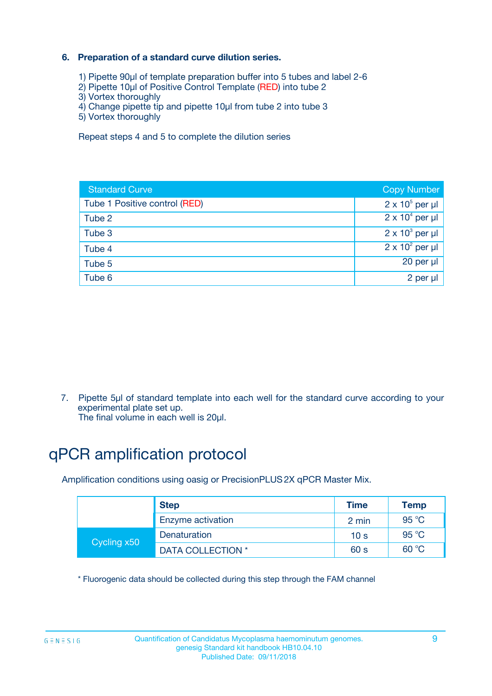### **6. Preparation of a standard curve dilution series.**

- 1) Pipette 90µl of template preparation buffer into 5 tubes and label 2-6
- 2) Pipette 10µl of Positive Control Template (RED) into tube 2
- 3) Vortex thoroughly
- 4) Change pipette tip and pipette 10µl from tube 2 into tube 3
- 5) Vortex thoroughly

Repeat steps 4 and 5 to complete the dilution series

| <b>Standard Curve</b>         | <b>Copy Number</b>     |
|-------------------------------|------------------------|
| Tube 1 Positive control (RED) | $2 \times 10^5$ per µl |
| Tube 2                        | $2 \times 10^4$ per µl |
| Tube 3                        | $2 \times 10^3$ per µl |
| Tube 4                        | $2 \times 10^2$ per µl |
| Tube 5                        | 20 per µl              |
| Tube 6                        | $2$ per $\mu$          |

7. Pipette 5µl of standard template into each well for the standard curve according to your experimental plate set up.

The final volume in each well is 20µl.

# qPCR amplification protocol

Amplification conditions using oasig or PrecisionPLUS2X qPCR Master Mix.

|             | <b>Step</b>       | <b>Time</b>     | Temp           |
|-------------|-------------------|-----------------|----------------|
|             | Enzyme activation | 2 min           | $95^{\circ}$ C |
| Cycling x50 | Denaturation      | 10 <sub>s</sub> | 95 $°C$        |
|             | DATA COLLECTION * | 60 s            | 60 °C          |

\* Fluorogenic data should be collected during this step through the FAM channel